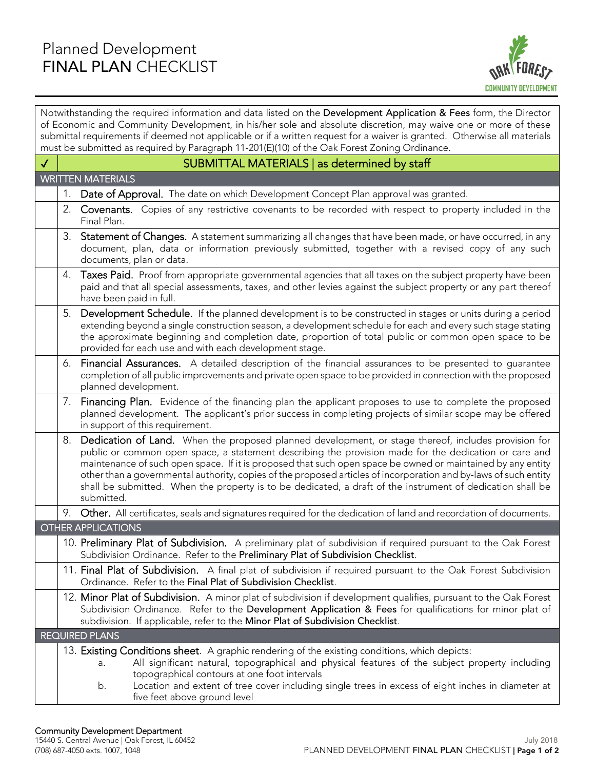

| Notwithstanding the required information and data listed on the Development Application & Fees form, the Director<br>of Economic and Community Development, in his/her sole and absolute discretion, may waive one or more of these<br>submittal requirements if deemed not applicable or if a written request for a waiver is granted. Otherwise all materials<br>must be submitted as required by Paragraph 11-201(E)(10) of the Oak Forest Zoning Ordinance. |    |                                                                                                                                                                                                                                                                                                                                                                                                                                                                                                                                                                             |  |
|-----------------------------------------------------------------------------------------------------------------------------------------------------------------------------------------------------------------------------------------------------------------------------------------------------------------------------------------------------------------------------------------------------------------------------------------------------------------|----|-----------------------------------------------------------------------------------------------------------------------------------------------------------------------------------------------------------------------------------------------------------------------------------------------------------------------------------------------------------------------------------------------------------------------------------------------------------------------------------------------------------------------------------------------------------------------------|--|
| $\checkmark$                                                                                                                                                                                                                                                                                                                                                                                                                                                    |    | SUBMITTAL MATERIALS   as determined by staff                                                                                                                                                                                                                                                                                                                                                                                                                                                                                                                                |  |
|                                                                                                                                                                                                                                                                                                                                                                                                                                                                 |    | <b>WRITTEN MATERIALS</b>                                                                                                                                                                                                                                                                                                                                                                                                                                                                                                                                                    |  |
|                                                                                                                                                                                                                                                                                                                                                                                                                                                                 | 1. | Date of Approval. The date on which Development Concept Plan approval was granted.                                                                                                                                                                                                                                                                                                                                                                                                                                                                                          |  |
|                                                                                                                                                                                                                                                                                                                                                                                                                                                                 |    | 2. Covenants. Copies of any restrictive covenants to be recorded with respect to property included in the<br>Final Plan.                                                                                                                                                                                                                                                                                                                                                                                                                                                    |  |
|                                                                                                                                                                                                                                                                                                                                                                                                                                                                 | 3. | <b>Statement of Changes.</b> A statement summarizing all changes that have been made, or have occurred, in any<br>document, plan, data or information previously submitted, together with a revised copy of any such<br>documents, plan or data.                                                                                                                                                                                                                                                                                                                            |  |
|                                                                                                                                                                                                                                                                                                                                                                                                                                                                 | 4. | Taxes Paid. Proof from appropriate governmental agencies that all taxes on the subject property have been<br>paid and that all special assessments, taxes, and other levies against the subject property or any part thereof<br>have been paid in full.                                                                                                                                                                                                                                                                                                                     |  |
|                                                                                                                                                                                                                                                                                                                                                                                                                                                                 | 5. | Development Schedule. If the planned development is to be constructed in stages or units during a period<br>extending beyond a single construction season, a development schedule for each and every such stage stating<br>the approximate beginning and completion date, proportion of total public or common open space to be<br>provided for each use and with each development stage.                                                                                                                                                                                   |  |
|                                                                                                                                                                                                                                                                                                                                                                                                                                                                 | 6. | Financial Assurances. A detailed description of the financial assurances to be presented to guarantee<br>completion of all public improvements and private open space to be provided in connection with the proposed<br>planned development.                                                                                                                                                                                                                                                                                                                                |  |
|                                                                                                                                                                                                                                                                                                                                                                                                                                                                 | 7. | Financing Plan. Evidence of the financing plan the applicant proposes to use to complete the proposed<br>planned development. The applicant's prior success in completing projects of similar scope may be offered<br>in support of this requirement.                                                                                                                                                                                                                                                                                                                       |  |
|                                                                                                                                                                                                                                                                                                                                                                                                                                                                 | 8. | Dedication of Land. When the proposed planned development, or stage thereof, includes provision for<br>public or common open space, a statement describing the provision made for the dedication or care and<br>maintenance of such open space. If it is proposed that such open space be owned or maintained by any entity<br>other than a governmental authority, copies of the proposed articles of incorporation and by-laws of such entity<br>shall be submitted. When the property is to be dedicated, a draft of the instrument of dedication shall be<br>submitted. |  |
|                                                                                                                                                                                                                                                                                                                                                                                                                                                                 |    | 9. Other. All certificates, seals and signatures required for the dedication of land and recordation of documents.                                                                                                                                                                                                                                                                                                                                                                                                                                                          |  |
|                                                                                                                                                                                                                                                                                                                                                                                                                                                                 |    | <b>OTHER APPLICATIONS</b>                                                                                                                                                                                                                                                                                                                                                                                                                                                                                                                                                   |  |
|                                                                                                                                                                                                                                                                                                                                                                                                                                                                 |    | 10. Preliminary Plat of Subdivision. A preliminary plat of subdivision if required pursuant to the Oak Forest<br>Subdivision Ordinance. Refer to the Preliminary Plat of Subdivision Checklist.                                                                                                                                                                                                                                                                                                                                                                             |  |
|                                                                                                                                                                                                                                                                                                                                                                                                                                                                 |    | 11. Final Plat of Subdivision. A final plat of subdivision if required pursuant to the Oak Forest Subdivision<br>Ordinance. Refer to the Final Plat of Subdivision Checklist.                                                                                                                                                                                                                                                                                                                                                                                               |  |
|                                                                                                                                                                                                                                                                                                                                                                                                                                                                 |    | 12. Minor Plat of Subdivision. A minor plat of subdivision if development qualifies, pursuant to the Oak Forest<br>Subdivision Ordinance. Refer to the Development Application & Fees for qualifications for minor plat of<br>subdivision. If applicable, refer to the Minor Plat of Subdivision Checklist.                                                                                                                                                                                                                                                                 |  |
|                                                                                                                                                                                                                                                                                                                                                                                                                                                                 |    | <b>REQUIRED PLANS</b>                                                                                                                                                                                                                                                                                                                                                                                                                                                                                                                                                       |  |
|                                                                                                                                                                                                                                                                                                                                                                                                                                                                 |    | 13. Existing Conditions sheet. A graphic rendering of the existing conditions, which depicts:<br>All significant natural, topographical and physical features of the subject property including<br>a.<br>topographical contours at one foot intervals<br>b.<br>Location and extent of tree cover including single trees in excess of eight inches in diameter at<br>five feet above ground level                                                                                                                                                                            |  |